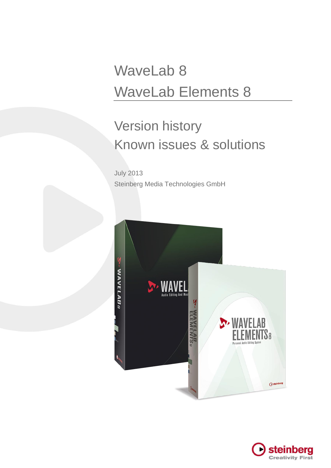# WaveLab 8 WaveLab Elements 8

# Version history Known issues & solutions

July 2013 Steinberg Media Technologies GmbH



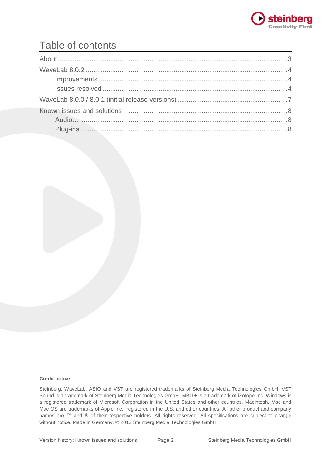

## Table of contents

#### **Credit notice:**

Steinberg, WaveLab, ASIO and VST are registered trademarks of Steinberg Media Technologies GmbH. VST Sound is a trademark of Steinberg Media Technologies GmbH. MBIT+ is a trademark of iZotope Inc. Windows is a registered trademark of Microsoft Corporation in the United States and other countries. Macintosh, Mac and Mac OS are trademarks of Apple Inc., registered in the U.S. and other countries. All other product and company names are ™ and ® of their respective holders. All rights reserved. All specifications are subject to change without notice. Made in Germany. © 2013 Steinberg Media Technologies GmbH.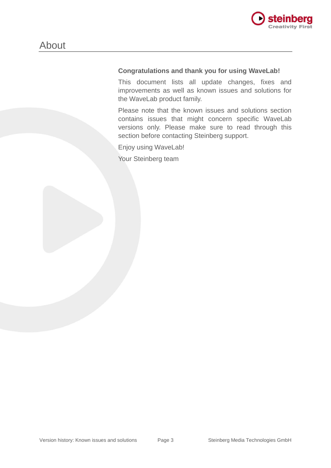

### **Congratulations and thank you for using WaveLab!**

This document lists all update changes, fixes and improvements as well as known issues and solutions for the WaveLab product family.

Please note that the known issues and solutions section contains issues that might concern specific WaveLab versions only. Please make sure to read through this section before contacting Steinberg support.

Enjoy using WaveLab!

Your Steinberg team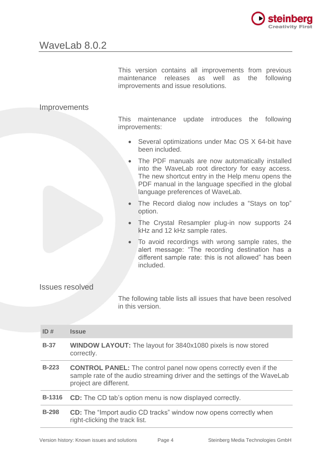

This version contains all improvements from previous maintenance releases as well as the following improvements and issue resolutions.

### Improvements

This maintenance update introduces the following improvements:

- Several optimizations under Mac OS X 64-bit have been included.
- The PDF manuals are now automatically installed into the WaveLab root directory for easy access. The new shortcut entry in the Help menu opens the PDF manual in the language specified in the global language preferences of WaveLab.
- The Record dialog now includes a "Stays on top" option.
- The Crystal Resampler plug-in now supports 24 kHz and 12 kHz sample rates.
- To avoid recordings with wrong sample rates, the alert message: "The recording destination has a different sample rate: this is not allowed" has been included.

#### Issues resolved

The following table lists all issues that have been resolved in this version.

| ID#           | <b>Issue</b>                                                                                                                                                                   |  |  |  |  |  |
|---------------|--------------------------------------------------------------------------------------------------------------------------------------------------------------------------------|--|--|--|--|--|
| $B-37$        | <b>WINDOW LAYOUT:</b> The layout for 3840x1080 pixels is now stored<br>correctly.                                                                                              |  |  |  |  |  |
| $B-223$       | <b>CONTROL PANEL:</b> The control panel now opens correctly even if the<br>sample rate of the audio streaming driver and the settings of the WaveLab<br>project are different. |  |  |  |  |  |
| <b>B-1316</b> | <b>CD:</b> The CD tab's option menu is now displayed correctly.                                                                                                                |  |  |  |  |  |
| <b>B-298</b>  | <b>CD:</b> The "Import audio CD tracks" window now opens correctly when<br>right-clicking the track list.                                                                      |  |  |  |  |  |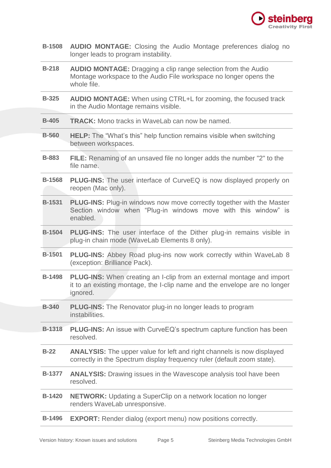

| <b>B-1508 AUDIO MONTAGE:</b> Closing the Audio Montage preferences dialog no |  |  |  |
|------------------------------------------------------------------------------|--|--|--|
| longer leads to program instability.                                         |  |  |  |

- **B-218 AUDIO MONTAGE:** Dragging a clip range selection from the Audio Montage workspace to the Audio File workspace no longer opens the whole file.
- **B-325 AUDIO MONTAGE:** When using CTRL+L for zooming, the focused track in the Audio Montage remains visible.
- **B-405 TRACK:** Mono tracks in WaveLab can now be named.
- **B-560 HELP:** The "What's this" help function remains visible when switching between workspaces.
- **B-883 FILE:** Renaming of an unsaved file no longer adds the number "2" to the file name.
- **B-1568 PLUG-INS:** The user interface of CurveEQ is now displayed properly on reopen (Mac only).
- **B-1531 PLUG-INS:** Plug-in windows now move correctly together with the Master Section window when "Plug-in windows move with this window" is enabled.
- **B-1504 PLUG-INS:** The user interface of the Dither plug-in remains visible in plug-in chain mode (WaveLab Elements 8 only).
- **B-1501 PLUG-INS:** Abbey Road plug-ins now work correctly within WaveLab 8 (exception: Brilliance Pack).
- **B-1498 PLUG-INS:** When creating an I-clip from an external montage and import it to an existing montage, the I-clip name and the envelope are no longer ignored.
- **B-340 PLUG-INS:** The Renovator plug-in no longer leads to program instabilities.
- **B-1318 PLUG-INS:** An issue with CurveEQ's spectrum capture function has been resolved.
- **B-22 ANALYSIS:** The upper value for left and right channels is now displayed correctly in the Spectrum display frequency ruler (default zoom state).
- **B-1377 ANALYSIS:** Drawing issues in the Wavescope analysis tool have been resolved.
- **B-1420 NETWORK:** Updating a SuperClip on a network location no longer renders WaveLab unresponsive.
- **B-1496 EXPORT:** Render dialog (export menu) now positions correctly.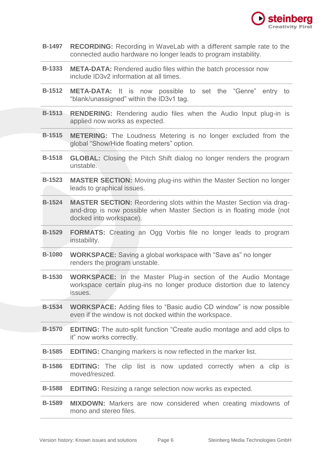

- **B-1497 RECORDING:** Recording in WaveLab with a different sample rate to the connected audio hardware no longer leads to program instability.
- **B-1333 META-DATA:** Rendered audio files within the batch processor now include ID3v2 information at all times.
- **B-1512 META-DATA:** It is now possible to set the "Genre" entry to "blank/unassigned" within the ID3v1 tag.
- **B-1513 RENDERING:** Rendering audio files when the Audio Input plug-in is applied now works as expected.
- **B-1515 METERING:** The Loudness Metering is no longer excluded from the global "Show/Hide floating meters" option.
- **B-1518 GLOBAL:** Closing the Pitch Shift dialog no longer renders the program unstable.
- **B-1523 MASTER SECTION:** Moving plug-ins within the Master Section no longer leads to graphical issues.
- **B-1524 MASTER SECTION:** Reordering slots within the Master Section via dragand-drop is now possible when Master Section is in floating mode (not docked into workspace).
- **B-1529 FORMATS:** Creating an Ogg Vorbis file no longer leads to program instability.
- **B-1080 WORKSPACE:** Saving a global workspace with "Save as" no longer renders the program unstable.
- **B-1530 WORKSPACE:** In the Master Plug-in section of the Audio Montage workspace certain plug-ins no longer produce distortion due to latency issues.
- **B-1534 WORKSPACE:** Adding files to "Basic audio CD window" is now possible even if the window is not docked within the workspace.
- **B-1570 EDITING:** The auto-split function "Create audio montage and add clips to it" now works correctly.
- **B-1585 EDITING:** Changing markers is now reflected in the marker list.
- **B-1586 EDITING:** The clip list is now updated correctly when a clip is moved/resized.
- **B-1588 EDITING:** Resizing a range selection now works as expected.
- **B-1589 MIXDOWN:** Markers are now considered when creating mixdowns of mono and stereo files.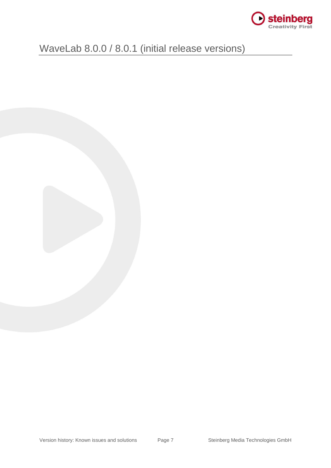

# WaveLab 8.0.0 / 8.0.1 (initial release versions)